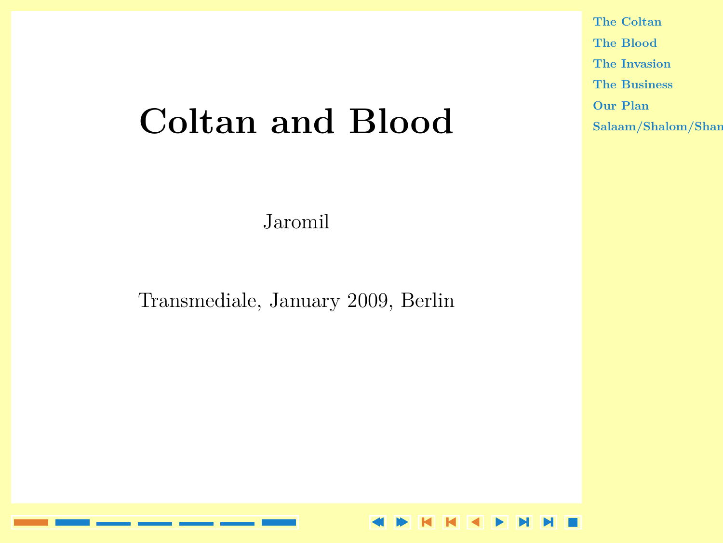# <span id="page-0-0"></span>**[Coltan and Blood](#page-1-0)**

Jaromil

Transmediale, January 2009, Berlin

**[The Coltan](#page-1-0) [The Blood](#page-2-0) [The Invasion](#page-3-0) [The Business](#page-4-0) [Our Plan](#page-5-0)**  $Salaam/Shalom/Shan$  $Salaam/Shalom/Shan$ 

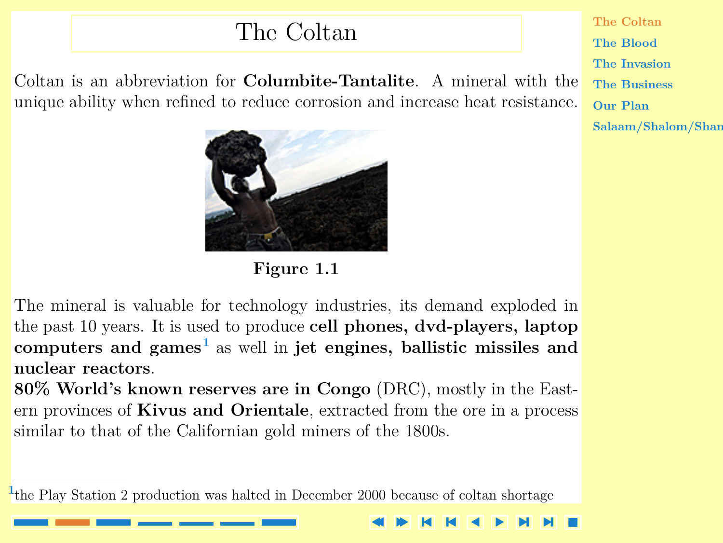### The Coltan

<span id="page-1-0"></span>Coltan is an abbreviation for **Columbite-Tantalite**. A mineral with the unique ability when refined to reduce corrosion and increase heat resistance.



**Figure 1.1**

[The mineral is valuable for technology industries, its demand exploded in](#page-2-0) the past 10 years. It is used to produce **cell phones, dvd-players, laptop computers and games<sup>1</sup>** as well in **jet engines, ballistic missiles and nuclear reactors**.

**80% World's known reserves are in Congo** (DRC), mostly in the Eastern provinces of **Kivus and Orientale**, extracted from the ore in a process similar to that of the Californian gold miners of the 1800s.

the Play Station 2 production was halted in December 2000 because of coltan shortage **<sup>1</sup>**

[-](#page-2-0)

**NN** 

**The Coltan [The Blood](#page-2-0) [The Invasion](#page-3-0) [The Business](#page-4-0) [Our Plan](#page-5-0)**  $Salaam/Shalom/Shan$  $Salaam/Shalom/Shan$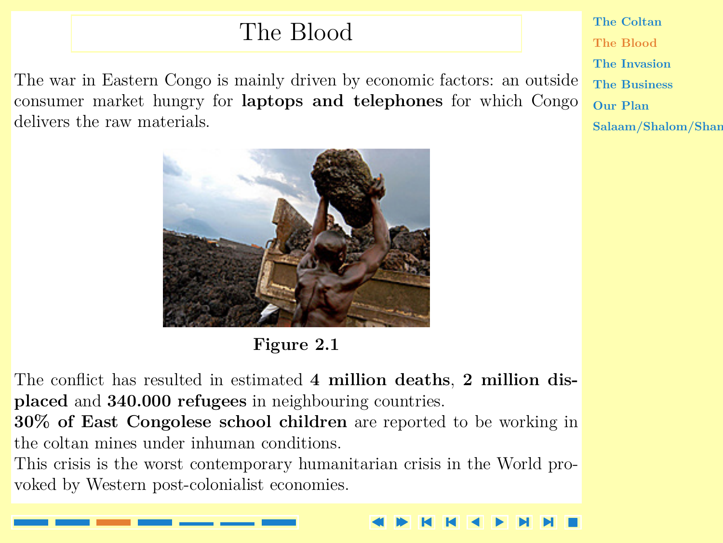### The Blood

<span id="page-2-0"></span>[The war in Eastern Congo is mainly driven by economic factors: an outside](#page-3-0) consumer market hungry for **laptops and telephones** for which Congo delivers the raw materials.



**Figure 2.1**

The conflict has resulted in estimated **4 million deaths**, **2 million displaced** and **340.000 refugees** in neighbouring countries.

**30% of East Congolese school children** are reported to be working in the coltan mines under inhuman conditions.

This crisis is the worst contemporary humanitarian crisis in the World provoked by Western post-colonialist economies.

**[The Coltan](#page-1-0) The Blood [The Invasion](#page-3-0) [The Business](#page-4-0) [Our Plan](#page-5-0)**  $Salaam/Shalom/Shan$  $Salaam/Shalom/Shan$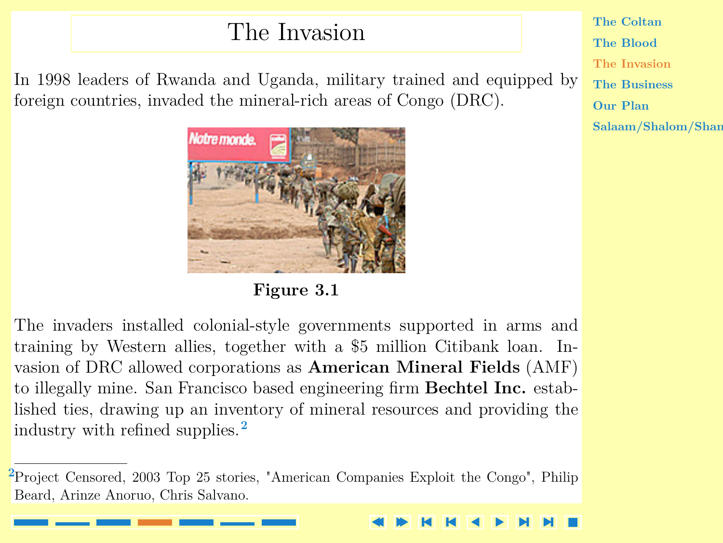### The Invasion

<span id="page-3-0"></span>[In 1998 leaders of Rwanda and Uganda, military trained and equipped by](#page-4-0) foreign countries, invaded the mineral-rich areas of Congo (DRC).





The invaders installed colonial-style governments supported in arms and training by Western allies, together with a \$5 million Citibank loan. Invasion of DRC allowed corporations as **American Mineral Fields** (AMF) to illegally mine. San Francisco based engineering firm **Bechtel Inc.** established ties, drawing up an inventory of mineral resources and providing the industry with refined supplies.**<sup>2</sup>**

**[The Coltan](#page-1-0) [The Blood](#page-2-0) The Invasion [The Business](#page-4-0) [Our Plan](#page-5-0)**  $Salaam/Shalom/Shan$  $Salaam/Shalom/Shan$ 

Project Censored, 2003 Top 25 stories, "American Companies Exploit the Congo", Philip **<sup>2</sup>** Beard, Arinze Anoruo, Chris Salvano.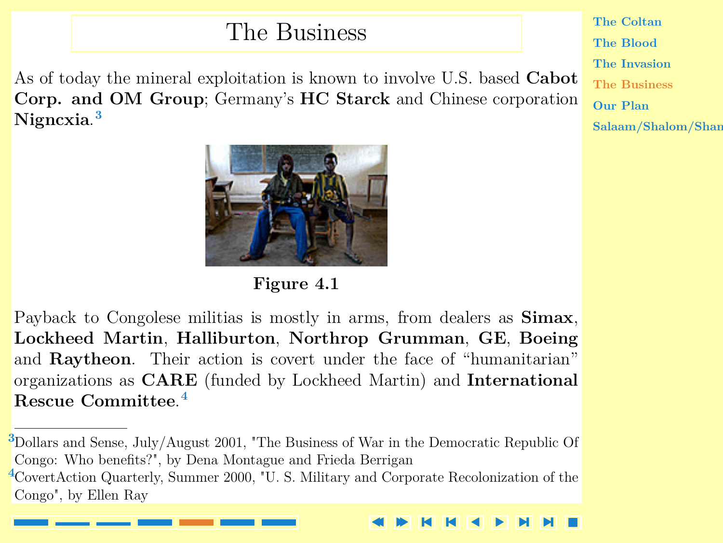### The Business

<span id="page-4-0"></span>[As of today the mineral exploitation is known to involve U.S. based](#page-5-0) **Cabot Corp. and OM Group**; Germany's **HC Starck** and Chinese corporation **Nigncxia**. **3**



**Figure 4.1**

Payback to Congolese militias is mostly in arms, from dealers as **Simax**, **Lockheed Martin**, **Halliburton**, **Northrop Grumman**, **GE**, **Boeing** and **Raytheon**. Their action is covert under the face of "humanitarian" organizations as **CARE** (funded by Lockheed Martin) and **International Rescue Committee**. **4**

Dollars and Sense, July/August 2001, "The Business of War in the Democratic Republic Of **<sup>3</sup>** Congo: Who benefits?", by Dena Montague and Frieda Berrigan CovertAction Quarterly, Summer 2000, "U. S. Military and Corporate Recolonization of the **<sup>4</sup>** Congo", by Ellen Ray

**[The Coltan](#page-1-0) [The Blood](#page-2-0) [The Invasion](#page-3-0) The Business [Our Plan](#page-5-0)**  $Salaam/Shalom/Shan$  $Salaam/Shalom/Shan$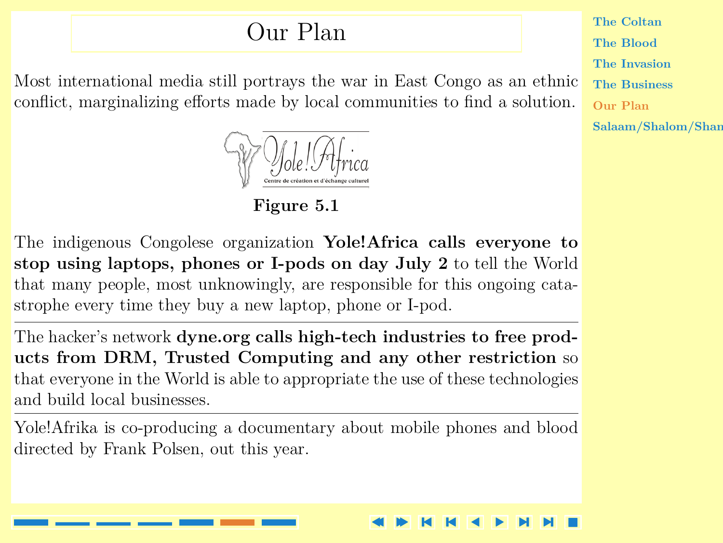### Our Plan

<span id="page-5-0"></span>Most international media still portrays the war in East Congo as an ethnic conflict, marginalizing efforts made by local communities to find a solution.



**Figure 5.1**

The indigenous Congolese organization **Yole!Africa calls everyone to stop using laptops, phones or I-pods on day July 2** to tell the World that many people, most unknowingly, are responsible for this ongoing catastrophe every time they buy a new laptop, phone or I-pod.

The hacker's network **dyne.org calls high-tech industries to free products from DRM, Trusted Computing and any other restriction** so that everyone in the World is able to appropriate the use of these technologies and build local businesses.

[Yole!Afrika is co-producing a documentary about mobile phones and blood](#page-6-0) directed by Frank Polsen, out this year.

**[The Coltan](#page-1-0) [The Blood](#page-2-0) [The Invasion](#page-3-0) [The Business](#page-4-0) Our Plan**  $Salaam/Shalom/Shan$  $Salaam/Shalom/Shan$